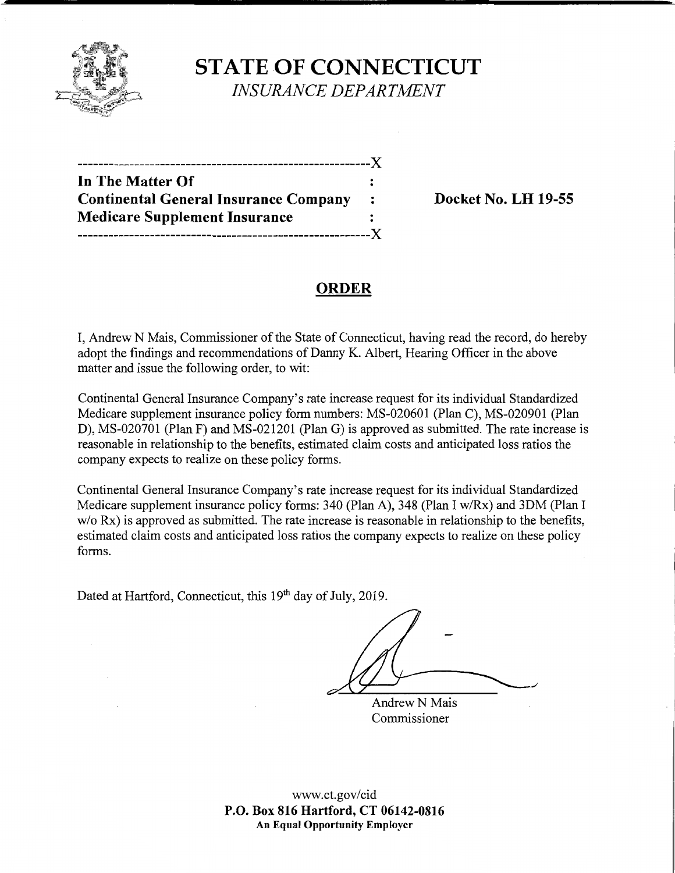

**STATE OF CONNECTICUT**  *INSURANCE DEPARTMENT* 

| ------- <i>--------</i> -                    |                |
|----------------------------------------------|----------------|
| In The Matter Of                             |                |
| <b>Continental General Insurance Company</b> | $\ddot{\cdot}$ |
| <b>Medicare Supplement Insurance</b>         |                |
|                                              | - X            |

**Docket No. LH 19-55** 

# **ORDER**

I, Andrew N Mais, Commissioner of the State of Connecticut, having read the record, do hereby adopt the findings and recommendations of Danny K. Albert, Hearing Officer in the above matter and issue the following order, to wit:

Continental General Insurance Company's rate increase request for its individual Standardized Medicare supplement insurance policy form numbers: MS-020601 (Plan C), MS-020901 (Plan D), MS-020701 (Plan F) and MS-021201 (Plan G) is approved as submitted. The rate increase is reasonable in relationship to the benefits, estimated claim costs and anticipated loss ratios the company expects to realize on these policy forms.

Continental General Insurance Company's rate increase request for its individual Standardized Medicare supplement insurance policy forms: 340 (Plan A), 348 (Plan I w/Rx) and 3DM (Plan I w/o Rx) is approved as submitted. The rate increase is reasonable in relationship to the benefits, estimated claim costs and anticipated loss ratios the company expects to realize on these policy forms.

Dated at Hartford, Connecticut, this 19<sup>th</sup> day of July, 2019.

Andrew N Mais Commissioner

www.ct.gov/cid **P.O. Box 816 Hartford, CT 06142-0816 An Equal Opportunity Employer**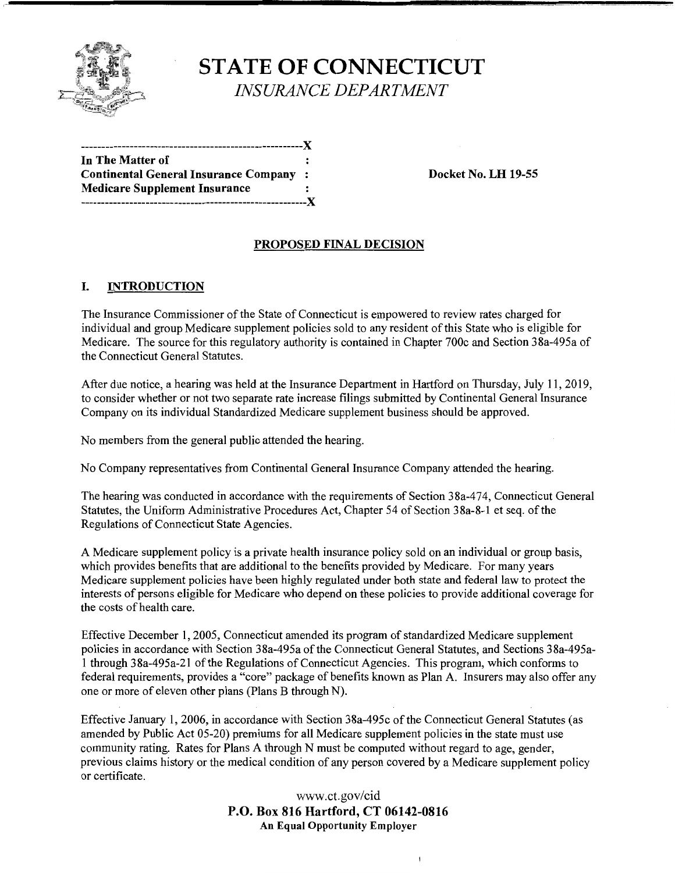

**STATE OF CONNECTICUT**  *INSURANCE DEPARTMENT* 

-------------------------------------------------------:,{ **In The Matter of Continental General Insurance Company** : **Docket No. LH 19-55 Medicare Supplement Insurance**  --------------------------------------------------------:,{

## **PROPOSED FINAL DECISION**

## **I. INTRODUCTION**

The Insurance Commissioner of the State of Connecticut is empowered to review rates charged for individual and group Medicare supplement policies sold to any resident of this State who is eligible for Medicare. The source for this regulatory authority is contained in Chapter 700c and Section 38a-495a of the Connecticut General Statutes.

After due notice, a hearing was held at the Insurance Department in Hartford on Thursday, July 11, 2019, to consider whether or not two separate rate increase filings submitted by Continental General Insurance Company on its individual Standardized Medicare supplement business should be approved.

No members from the general public attended the hearing.

No Company representatives from Continental General Insurance Company attended the hearing.

The hearing was conducted in accordance with the requirements of Section 38a-474, Connecticut General Statutes, the Uniform Administrative Procedures Act, Chapter 54 of Section 38a-8-1 et seq. of the Regulations of Connecticut State Agencies.

A Medicare supplement policy is a private health insurance policy sold on an individual or group basis, which provides benefits that are additional to the benefits provided by Medicare. For many years Medicare supplement policies have been highly regulated under both state and federal law to protect the interests of persons eligible for Medicare who depend on these policies to provide additional coverage for the costs of health care.

Effective December 1, 2005, Connecticut amended its program of standardized Medicare supplement policies in accordance with Section 38a-495a of the Connecticut General Statutes, and Sections 38a-495a-1 through 38a-495a-21 of the Regulations of Connecticut Agencies. This program, which conforms to federal requirements, provides a "core" package of benefits known as Plan A. Insurers may also offer any one or more of eleven other plans (Plans B through N).

Effective January 1, 2006, in accordance with Section 38a-495c of the Connecticut General Statutes (as amended by Public Act 05-20) premiums for all Medicare supplement policies in the state must use community rating. Rates for Plans A through N must be computed without regard to age, gender, previous claims history or the medical condition of any person covered by a Medicare supplement policy or certificate.

> www.ct.gov/cid **P.O. Box 816 Hartford, CT 06142-0816 An Equal Opportunity Employer**

> > $\mathbf{I}$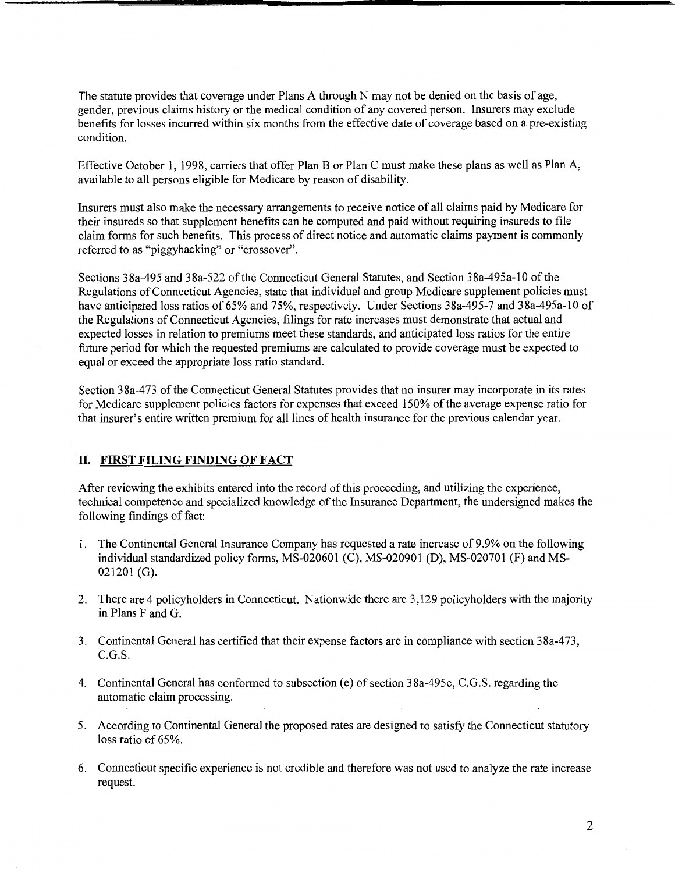The statute provides that coverage under Plans A through N may not be denied on the basis of age, gender, previous claims history or the medical condition of any covered person. Insurers may exclude benefits for losses incurred within six months from the effective date of coverage based on a pre-existing condition.

Effective October 1, 1998, carriers that offer Plan B or Plan C must make these plans as well as Plan A, available to all persons eligible for Medicare by reason of disability.

Insurers must also make the necessary arrangements to receive notice of all claims paid by Medicare for their insureds so that supplement benefits can be computed and paid without requiring insureds to file claim forms for such benefits. This process of direct notice and automatic claims payment is commonly referred to as "piggybacking" or "crossover".

Sections 38a-495 and 38a-522 of the Connecticut General Statutes, and Section 38a-495a-10 of the Regulations of Connecticut Agencies, state that individual and group Medicare supplement policies must have anticipated loss ratios of 65% and 75%, respectively. Under Sections 38a-495-7 and 38a-495a-10 of the Regulations of Connecticut Agencies, filings for rate increases must demonstrate that actual and expected losses in relation to premiums meet these standards, and anticipated loss ratios for the entire future period for which the requested premiums are calculated to provide coverage must be expected to equal or exceed the appropriate loss ratio standard.

Section 38a-473 of the Connecticut General Statutes provides that no insurer may incorporate in its rates for Medicare supplement policies factors for expenses that exceed 150% of the average expense ratio for that insurer's entire written premium for all lines of health insurance for the previous calendar year.

#### **11. FIRST FILING FINDING OF FACT**

After reviewing the exhibits entered into the record of this proceeding, and utilizing the experience, technical competence and specialized knowledge of the Insurance Department, the undersigned makes the following findings of fact:

- 1. The Continental General Insurance Company has requested a rate increase of 9 .9% on the following individual standardized policy forms, MS-020601 (C), MS-020901 (D), MS-020701 (F) and MS-021201 (G).
- 2. There are 4 policyholders in Connecticut. Nationwide there are 3,129 policyholders with the majority in Plans F and G.
- 3. Continental General has certified that their expense factors are in compliance with section 38a-473, C.G.S.
- 4. Continental General has conformed to subsection (e) of section 38a-495c, C.G.S. regarding the automatic claim processing.
- 5. According to Continental General the proposed rates are designed to satisfy the Connecticut statutory loss ratio of 65%.
- 6. Connecticut specific experience is not credible and therefore was not used to analyze the rate increase request.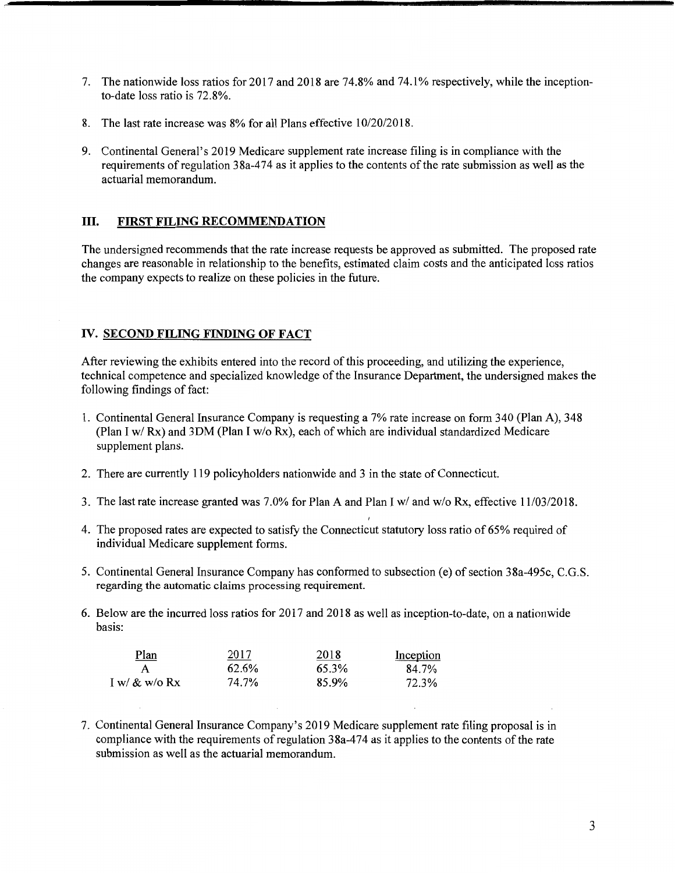- 7. The nationwide loss ratios for 2017 and 2018 are 7 4.8% and 7 4.1 % respectively, while the inceptionto-date loss ratio is 72.8%.
- 8. The last rate increase was 8% for all Plans effective 10/20/2018.
- 9. Continental General's 2019 Medicare supplement rate increase filing is in compliance with the requirements of regulation 38a-474 as it applies to the contents of the rate submission as well as the actuarial memorandum.

### ill. **FIRST FILING RECOMMENDATION**

The undersigned recommends that the rate increase requests be approved as submitted. The proposed rate changes are reasonable in relationship to the benefits, estimated claim costs and the anticipated loss ratios the company expects to realize on these policies in the future.

### IV. **SECOND FILING FINDING OF FACT**

After reviewing the exhibits entered into the record of this proceeding, and utilizing the experience, technical competence and specialized knowledge of the Insurance Department, the undersigned makes the following findings of fact:

- 1. Continental General Insurance Company is requesting a 7% rate increase on form 340 (Plan A), 348 (Plan I w/ Rx) and 3DM (Plan I w/o Rx), each of which are individual standardized Medicare supplement plans.
- 2. There are currently 119 policyholders nationwide and 3 in the state of Connecticut.
- 3. The last rate increase granted was 7.0% for Plan A and Plan I w/ and w/o Rx, effective 11/03/2018.
- 4. The proposed rates are expected to satisfy the Connecticut statutory loss ratio of 65% required of individual Medicare supplement forms.
- 5. Continental General Insurance Company has conformed to subsection (e) of section 38a-495c, C.G.S. regarding the automatic claims processing requirement.
- 6. Below are the incurred loss ratios for 2017 and 2018 as well as inception-to-date, on a nationwide basis:

| <u>Plan</u>      | 2017  | 2018  | Inception |
|------------------|-------|-------|-----------|
|                  | 62.6% | 65.3% | 84.7%     |
| I w/ $\&$ w/o Rx | 74.7% | 85.9% | 72.3%     |

7. Continental General Insurance Company's 2019 Medicare supplement rate filing proposal is in compliance with the requirements ofregulation 38a-474 as it applies to the contents of the rate submission as well as the actuarial memorandum.